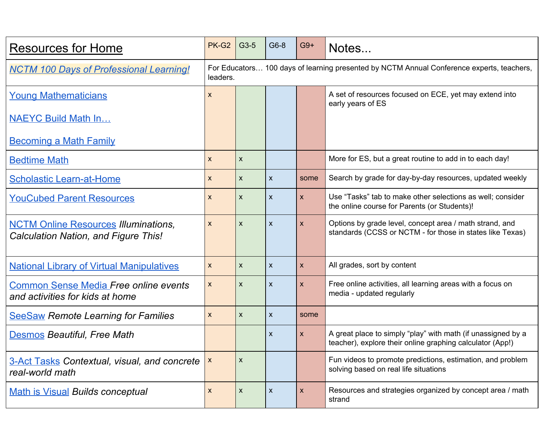| <b>Resources for Home</b>                                                           | PK-G2                                                                                                 | $G3-5$           | G6-8                      | $G9+$        | Notes                                                                                                                     |  |  |
|-------------------------------------------------------------------------------------|-------------------------------------------------------------------------------------------------------|------------------|---------------------------|--------------|---------------------------------------------------------------------------------------------------------------------------|--|--|
| <b>NCTM 100 Days of Professional Learning!</b>                                      | For Educators 100 days of learning presented by NCTM Annual Conference experts, teachers,<br>leaders. |                  |                           |              |                                                                                                                           |  |  |
| <b>Young Mathematicians</b>                                                         | X                                                                                                     |                  |                           |              | A set of resources focused on ECE, yet may extend into<br>early years of ES                                               |  |  |
| <b>NAEYC Build Math In</b>                                                          |                                                                                                       |                  |                           |              |                                                                                                                           |  |  |
| <b>Becoming a Math Family</b>                                                       |                                                                                                       |                  |                           |              |                                                                                                                           |  |  |
| <b>Bedtime Math</b>                                                                 | X                                                                                                     | $\pmb{\times}$   |                           |              | More for ES, but a great routine to add in to each day!                                                                   |  |  |
| <b>Scholastic Learn-at-Home</b>                                                     | X                                                                                                     | $\mathsf{x}$     | $\boldsymbol{\mathsf{X}}$ | some         | Search by grade for day-by-day resources, updated weekly                                                                  |  |  |
| <b>YouCubed Parent Resources</b>                                                    | $\boldsymbol{X}$                                                                                      | $\mathsf{x}$     | $\boldsymbol{\mathsf{X}}$ | X.           | Use "Tasks" tab to make other selections as well; consider<br>the online course for Parents (or Students)!                |  |  |
| <b>NCTM Online Resources Illuminations,</b><br>Calculation Nation, and Figure This! | X                                                                                                     | X                | $\boldsymbol{\mathsf{X}}$ | X.           | Options by grade level, concept area / math strand, and<br>standards (CCSS or NCTM - for those in states like Texas)      |  |  |
| <b>National Library of Virtual Manipulatives</b>                                    | $\boldsymbol{X}$                                                                                      | $\mathsf{x}$     | $\boldsymbol{\mathsf{X}}$ | <b>X</b>     | All grades, sort by content                                                                                               |  |  |
| <b>Common Sense Media Free online events</b><br>and activities for kids at home     | X                                                                                                     | X                | $\boldsymbol{\mathsf{X}}$ | $\mathsf{X}$ | Free online activities, all learning areas with a focus on<br>media - updated regularly                                   |  |  |
| <b>SeeSaw Remote Learning for Families</b>                                          | $\boldsymbol{\mathsf{X}}$                                                                             | $\mathsf{X}$     | $\boldsymbol{\mathsf{X}}$ | some         |                                                                                                                           |  |  |
| <b>Desmos Beautiful, Free Math</b>                                                  |                                                                                                       |                  | $\boldsymbol{\mathsf{X}}$ | X            | A great place to simply "play" with math (if unassigned by a<br>teacher), explore their online graphing calculator (App!) |  |  |
| <b>3-Act Tasks Contextual, visual, and concrete</b><br>real-world math              | X                                                                                                     | X                |                           |              | Fun videos to promote predictions, estimation, and problem<br>solving based on real life situations                       |  |  |
| <b>Math is Visual Builds conceptual</b>                                             | X                                                                                                     | $\boldsymbol{X}$ | X                         | X            | Resources and strategies organized by concept area / math<br>strand                                                       |  |  |